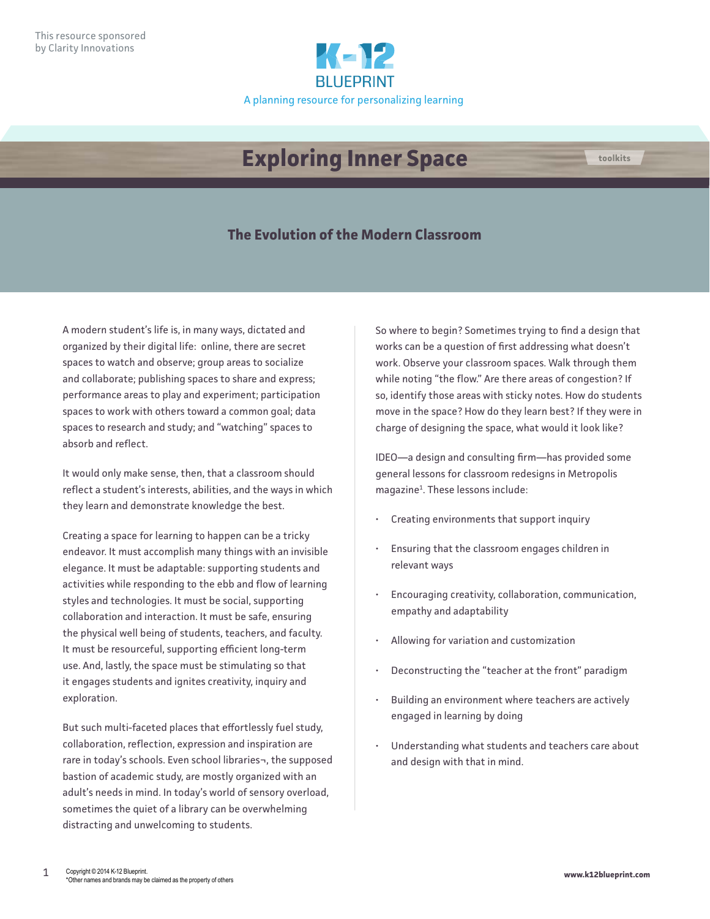

## **Exploring Inner Space toolkits**

## **The Evolution of the Modern Classroom**

A modern student's life is, in many ways, dictated and organized by their digital life: online, there are secret spaces to watch and observe; group areas to socialize and collaborate; publishing spaces to share and express; performance areas to play and experiment; participation spaces to work with others toward a common goal; data spaces to research and study; and "watching" spaces to absorb and reflect.

It would only make sense, then, that a classroom should reflect a student's interests, abilities, and the ways in which they learn and demonstrate knowledge the best.

Creating a space for learning to happen can be a tricky endeavor. It must accomplish many things with an invisible elegance. It must be adaptable: supporting students and activities while responding to the ebb and flow of learning styles and technologies. It must be social, supporting collaboration and interaction. It must be safe, ensuring the physical well being of students, teachers, and faculty. It must be resourceful, supporting efficient long-term use. And, lastly, the space must be stimulating so that it engages students and ignites creativity, inquiry and exploration.

But such multi-faceted places that effortlessly fuel study, collaboration, reflection, expression and inspiration are rare in today's schools. Even school libraries¬, the supposed bastion of academic study, are mostly organized with an adult's needs in mind. In today's world of sensory overload, sometimes the quiet of a library can be overwhelming distracting and unwelcoming to students.

So where to begin? Sometimes trying to find a design that works can be a question of first addressing what doesn't work. Observe your classroom spaces. Walk through them while noting "the flow." Are there areas of congestion? If so, identify those areas with sticky notes. How do students move in the space? How do they learn best? If they were in charge of designing the space, what would it look like?

IDEO—a design and consulting firm—has provided some general lessons for classroom redesigns in Metropolis magazine<sup>1</sup>. These lessons include:

- Creating environments that support inquiry
- Ensuring that the classroom engages children in relevant ways
- Encouraging creativity, collaboration, communication, empathy and adaptability
- Allowing for variation and customization
- Deconstructing the "teacher at the front" paradigm
- Building an environment where teachers are actively engaged in learning by doing
- Understanding what students and teachers care about and design with that in mind.